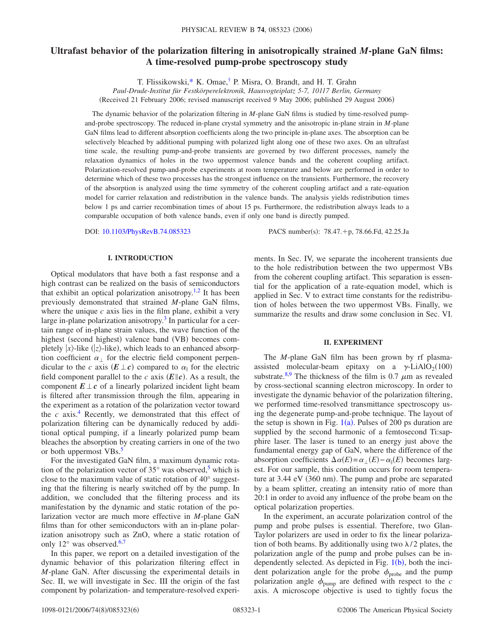# **Ultrafast behavior of the polarization filtering in anisotropically strained** *M***-plane GaN films: A time-resolved pump-probe spectroscopy study**

T. Flissikowski[,\\*](#page-5-0) K. Omae[,†](#page-5-1) P. Misra, O. Brandt, and H. T. Grahn

*Paul-Drude-Institut für Festkörperelektronik, Hausvogteiplatz 5-7, 10117 Berlin, Germany* (Received 21 February 2006; revised manuscript received 9 May 2006; published 29 August 2006)

The dynamic behavior of the polarization filtering in *M*-plane GaN films is studied by time-resolved pumpand-probe spectroscopy. The reduced in-plane crystal symmetry and the anisotropic in-plane strain in *M*-plane GaN films lead to different absorption coefficients along the two principle in-plane axes. The absorption can be selectively bleached by additional pumping with polarized light along one of these two axes. On an ultrafast time scale, the resulting pump-and-probe transients are governed by two different processes, namely the relaxation dynamics of holes in the two uppermost valence bands and the coherent coupling artifact. Polarization-resolved pump-and-probe experiments at room temperature and below are performed in order to determine which of these two processes has the strongest influence on the transients. Furthermore, the recovery of the absorption is analyzed using the time symmetry of the coherent coupling artifact and a rate-equation model for carrier relaxation and redistribution in the valence bands. The analysis yields redistribution times below 1 ps and carrier recombination times of about 15 ps. Furthermore, the redistribution always leads to a comparable occupation of both valence bands, even if only one band is directly pumped.

DOI: [10.1103/PhysRevB.74.085323](http://dx.doi.org/10.1103/PhysRevB.74.085323)

PACS number(s):  $78.47.+p$ ,  $78.66.Fd$ ,  $42.25.Ja$ 

## **I. INTRODUCTION**

Optical modulators that have both a fast response and a high contrast can be realized on the basis of semiconductors that exhibit an optical polarization anisotropy.<sup>1[,2](#page-5-3)</sup> It has been previously demonstrated that strained *M*-plane GaN films, where the unique  $c$  axis lies in the film plane, exhibit a very large in-plane polarization anisotropy.<sup>3</sup> In particular for a certain range of in-plane strain values, the wave function of the highest (second highest) valence band (VB) becomes completely  $|x\rangle$ -like ( $|z\rangle$ -like), which leads to an enhanced absorption coefficient  $\alpha_{\perp}$  for the electric field component perpendicular to the *c* axis  $(E \perp c)$  compared to  $\alpha_{\parallel}$  for the electric field component parallel to the *c* axis  $(E||c)$ . As a result, the component  $E \perp c$  of a linearly polarized incident light beam is filtered after transmission through the film, appearing in the experiment as a rotation of the polarization vector toward the  $c$  axis.<sup>4</sup> Recently, we demonstrated that this effect of polarization filtering can be dynamically reduced by additional optical pumping, if a linearly polarized pump beam bleaches the absorption by creating carriers in one of the two or both uppermost VBs.<sup>5</sup>

For the investigated GaN film, a maximum dynamic rotation of the polarization vector of  $35^{\circ}$  was observed,<sup>5</sup> which is close to the maximum value of static rotation of 40° suggesting that the filtering is nearly switched off by the pump. In addition, we concluded that the filtering process and its manifestation by the dynamic and static rotation of the polarization vector are much more effective in *M*-plane GaN films than for other semiconductors with an in-plane polarization anisotropy such as ZnO, where a static rotation of only  $12^{\circ}$  was observed.<sup>6[,7](#page-5-8)</sup>

In this paper, we report on a detailed investigation of the dynamic behavior of this polarization filtering effect in *M*-plane GaN. After discussing the experimental details in Sec. II, we will investigate in Sec. III the origin of the fast component by polarization- and temperature-resolved experiments. In Sec. IV, we separate the incoherent transients due to the hole redistribution between the two uppermost VBs from the coherent coupling artifact. This separation is essential for the application of a rate-equation model, which is applied in Sec. V to extract time constants for the redistribution of holes between the two uppermost VBs. Finally, we summarize the results and draw some conclusion in Sec. VI.

# **II. EXPERIMENT**

The *M*-plane GaN film has been grown by rf plasmaassisted molecular-beam epitaxy on a  $\gamma$ -LiAlO<sub>2</sub>(100) substrate.<sup>8,[9](#page-5-10)</sup> The thickness of the film is 0.7  $\mu$ m as revealed by cross-sectional scanning electron microscopy. In order to investigate the dynamic behavior of the polarization filtering, we performed time-resolved transmittance spectroscopy using the degenerate pump-and-probe technique. The layout of the setup is shown in Fig.  $1(a)$  $1(a)$ . Pulses of 200 ps duration are supplied by the second harmonic of a femtosecond Ti:sapphire laser. The laser is tuned to an energy just above the fundamental energy gap of GaN, where the difference of the absorption coefficients  $\Delta \alpha(E) = \alpha_{\perp}(E) - \alpha_{\parallel}(E)$  becomes largest. For our sample, this condition occurs for room temperature at 3.44 eV (360 nm). The pump and probe are separated by a beam splitter, creating an intensity ratio of more than 20:1 in order to avoid any influence of the probe beam on the optical polarization properties.

In the experiment, an accurate polarization control of the pump and probe pulses is essential. Therefore, two Glan-Taylor polarizers are used in order to fix the linear polarization of both beams. By additionally using two  $\lambda/2$  plates, the polarization angle of the pump and probe pulses can be independently selected. As depicted in Fig.  $1(b)$  $1(b)$ , both the incident polarization angle for the probe  $\phi_{\text{probe}}$  and the pump polarization angle  $\phi_{\text{pump}}$  are defined with respect to the *c* axis. A microscope objective is used to tightly focus the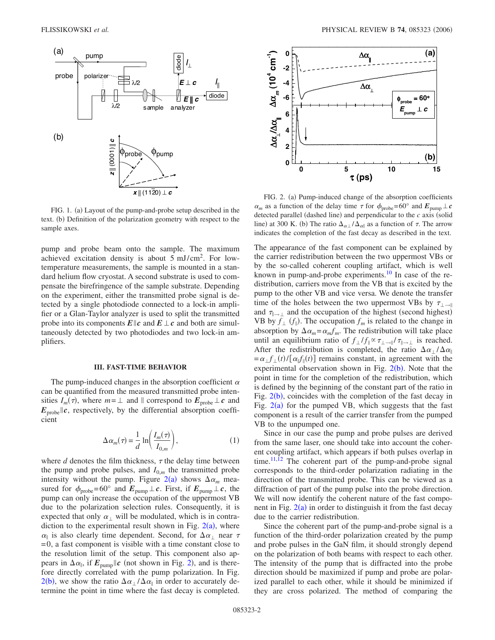<span id="page-1-0"></span>

FIG. 1. (a) Layout of the pump-and-probe setup described in the text. (b) Definition of the polarization geometry with respect to the sample axes.

pump and probe beam onto the sample. The maximum achieved excitation density is about  $5 \text{ mJ/cm}^2$ . For lowtemperature measurements, the sample is mounted in a standard helium flow cryostat. A second substrate is used to compensate the birefringence of the sample substrate. Depending on the experiment, either the transmitted probe signal is detected by a single photodiode connected to a lock-in amplifier or a Glan-Taylor analyzer is used to split the transmitted probe into its components  $E||c$  and  $E \perp c$  and both are simultaneously detected by two photodiodes and two lock-in amplifiers.

#### **III. FAST-TIME BEHAVIOR**

The pump-induced changes in the absorption coefficient  $\alpha$ can be quantified from the measured transmitted probe intensities  $I_m(\tau)$ , where  $m = \perp$  and  $\parallel$  correspond to  $E_{\text{probe}} \perp c$  and  $E_{\text{probe}}\|c$ , respectively, by the differential absorption coefficient

$$
\Delta \alpha_m(\tau) = \frac{1}{d} \ln \left( \frac{I_m(\tau)}{I_{0,m}} \right),\tag{1}
$$

where  $d$  denotes the film thickness,  $\tau$  the delay time between the pump and probe pulses, and  $I_{0,m}$  the transmitted probe intensity without the pump. Figure  $2(a)$  $2(a)$  shows  $\Delta \alpha_m$  measured for  $\phi_{\text{probe}} = 60^{\circ}$  and  $E_{\text{pump}} \perp c$ . First, if  $E_{\text{pump}} \perp c$ , the pump can only increase the occupation of the uppermost VB due to the polarization selection rules. Consequently, it is expected that only  $\alpha_{\perp}$  will be modulated, which is in contradiction to the experimental result shown in Fig.  $2(a)$  $2(a)$ , where  $\alpha_{\parallel}$  is also clearly time dependent. Second, for  $\Delta \alpha_{\perp}$  near  $\tau$  $=0$ , a fast component is visible with a time constant close to the resolution limit of the setup. This component also appears in  $\Delta \alpha_{\parallel}$ , if  $E_{\text{pump}} || c$  (not shown in Fig. [2](#page-1-1)), and is therefore directly correlated with the pump polarization. In Fig.  $2(b)$  $2(b)$ , we show the ratio  $\Delta \alpha_{\perp} / \Delta \alpha_{\parallel}$  in order to accurately determine the point in time where the fast decay is completed.

<span id="page-1-1"></span>

FIG. 2. (a) Pump-induced change of the absorption coefficients  $\alpha_m$  as a function of the delay time  $\tau$  for  $\phi_{\text{probe}} = 60^\circ$  and  $E_{\text{pump}} \perp c$ detected parallel (dashed line) and perpendicular to the *c* axis (solid line) at 300 K. (b) The ratio  $\Delta_{\alpha\perp}/\Delta_{\alpha\parallel}$  as a function of  $\tau$ . The arrow indicates the completion of the fast decay as described in the text.

The appearance of the fast component can be explained by the carrier redistribution between the two uppermost VBs or by the so-called coherent coupling artifact, which is well known in pump-and-probe experiments.<sup>10</sup> In case of the redistribution, carriers move from the VB that is excited by the pump to the other VB and vice versa. We denote the transfer time of the holes between the two uppermost VBs by  $\tau_{\perp \rightarrow \parallel}$ and  $\tau_{\parallel \rightarrow \perp}$  and the occupation of the highest (second highest) VB by  $f_{\perp}$  ( $f_{\parallel}$ ). The occupation  $f_m$  is related to the change in absorption by  $\Delta \alpha_m = \alpha_m f_m$ . The redistribution will take place until an equilibrium ratio of  $f_+ / f_{\parallel} \propto \tau_{+ \to \parallel} / \tau_{\parallel \to \perp}$  is reached. After the redistribution is completed, the ratio  $\Delta \alpha_{\perp} / \Delta \alpha_{\parallel}$  $= \alpha_{\perp} f_{\perp}(t) / [\alpha_{\parallel} f_{\parallel}(t)]$  remains constant, in agreement with the experimental observation shown in Fig.  $2(b)$  $2(b)$ . Note that the point in time for the completion of the redistribution, which is defined by the beginning of the constant part of the ratio in Fig.  $2(b)$  $2(b)$ , coincides with the completion of the fast decay in Fig.  $2(a)$  $2(a)$  for the pumped VB, which suggests that the fast component is a result of the carrier transfer from the pumped VB to the unpumped one.

Since in our case the pump and probe pulses are derived from the same laser, one should take into account the coherent coupling artifact, which appears if both pulses overlap in time. $11,12$  $11,12$  The coherent part of the pump-and-probe signal corresponds to the third-order polarization radiating in the direction of the transmitted probe. This can be viewed as a diffraction of part of the pump pulse into the probe direction. We will now identify the coherent nature of the fast component in Fig.  $2(a)$  $2(a)$  in order to distinguish it from the fast decay due to the carrier redistribution.

Since the coherent part of the pump-and-probe signal is a function of the third-order polarization created by the pump and probe pulses in the GaN film, it should strongly depend on the polarization of both beams with respect to each other. The intensity of the pump that is diffracted into the probe direction should be maximized if pump and probe are polarized parallel to each other, while it should be minimized if they are cross polarized. The method of comparing the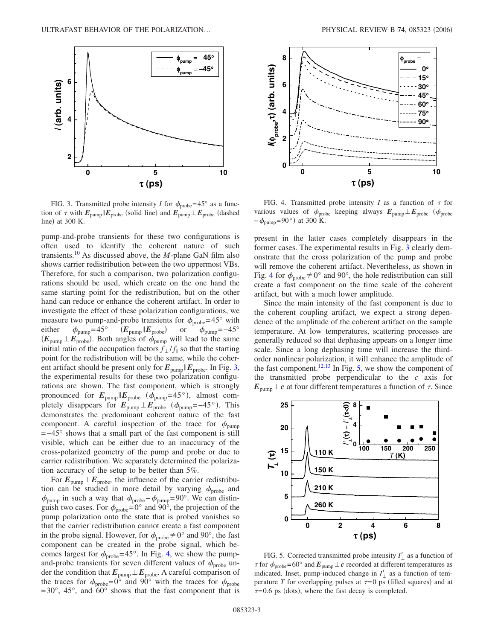<span id="page-2-0"></span>

FIG. 3. Transmitted probe intensity *I* for  $\phi_{\text{probe}} = 45^{\circ}$  as a function of  $\tau$  with  $E_{\text{pump}}|E_{\text{probe}}$  (solid line) and  $E_{\text{pump}}|E_{\text{probe}}$  (dashed line) at 300 K.

pump-and-probe transients for these two configurations is often used to identify the coherent nature of such transients[.10](#page-5-11) As discussed above, the *M*-plane GaN film also shows carrier redistribution between the two uppermost VBs. Therefore, for such a comparison, two polarization configurations should be used, which create on the one hand the same starting point for the redistribution, but on the other hand can reduce or enhance the coherent artifact. In order to investigate the effect of these polarization configurations, we measure two pump-and-probe transients for  $\phi_{\text{probe}} = 45^{\circ}$  with<br>either  $\phi_{\text{pump}} = 45^{\circ}$   $(E_{\text{pump}} || E_{\text{probe}})$  or  $\phi_{\text{pump}} = -45^{\circ}$  $\phi_{\text{pump}}$ =45° *(E*<sub>pump</sub> *|E*<sub>probe</sub>) or  $\phi_{\text{pump}}$ =−45°  $(E_{\text{pump}} \perp E_{\text{probe}})$ . Both angles of  $\phi_{\text{pump}}$  will lead to the same initial ratio of the occupation factors  $f_+ / f_{\parallel}$  so that the starting point for the redistribution will be the same, while the coherent artifact should be present only for  $E_{\text{pump}} || E_{\text{probe}}$ . In Fig. [3,](#page-2-0) the experimental results for these two polarization configurations are shown. The fast component, which is strongly pronounced for  $E_{\text{pump}} || E_{\text{probe}}$  ( $\phi_{\text{pump}} = 45^{\circ}$ ), almost completely disappears for  $E_{\text{pump}} \perp E_{\text{probe}}$  ( $\phi_{\text{pump}}$ =−45°). This demonstrates the predominant coherent nature of the fast component. A careful inspection of the trace for  $\phi_{\text{pump}}$ =−45° shows that a small part of the fast component is still visible, which can be either due to an inaccuracy of the cross-polarized geometry of the pump and probe or due to carrier redistribution. We separately determined the polarization accuracy of the setup to be better than 5%.

For  $E_{\text{pump}} \perp E_{\text{probe}}$ , the influence of the carrier redistribution can be studied in more detail by varying  $\phi_{\text{probe}}$  and  $\phi_{\text{pump}}$  in such a way that  $\phi_{\text{probe}}-\phi_{\text{pump}}=90^{\circ}$ . We can distinguish two cases. For  $\phi_{\text{probe}} = 0^{\circ}$  and  $90^{\circ}$ , the projection of the pump polarization onto the state that is probed vanishes so that the carrier redistribution cannot create a fast component in the probe signal. However, for  $\phi_{\text{probe}} \neq 0^{\circ}$  and 90°, the fast component can be created in the probe signal, which becomes largest for  $\phi_{\text{probe}} = 45^{\circ}$ . In Fig. [4,](#page-2-1) we show the pumpand-probe transients for seven different values of  $\phi_{\text{probe}}$  under the condition that  $E_{\text{pump}} \perp E_{\text{probe}}$ . A careful comparison of the traces for  $\phi_{\text{probe}} = 0^{\circ}$  and  $90^{\circ}$  with the traces for  $\phi_{\text{probe}}$  $=30^{\circ}$ , 45°, and 60° shows that the fast component that is

<span id="page-2-1"></span>

FIG. 4. Transmitted probe intensity *I* as a function of  $\tau$  for various values of  $\phi_{\text{probe}}$  keeping always  $E_{\text{pump}} \perp E_{\text{probe}}$  ( $\phi_{\text{probe}}$  $-\phi_{\text{pump}} = 90^{\circ}$  at 300 K.

present in the latter cases completely disappears in the former cases. The experimental results in Fig. [3](#page-2-0) clearly demonstrate that the cross polarization of the pump and probe will remove the coherent artifact. Nevertheless, as shown in Fig. [4](#page-2-1) for  $\phi_{\text{probe}} \neq 0^{\circ}$  and 90°, the hole redistribution can still create a fast component on the time scale of the coherent artifact, but with a much lower amplitude.

Since the main intensity of the fast component is due to the coherent coupling artifact, we expect a strong dependence of the amplitude of the coherent artifact on the sample temperature. At low temperatures, scattering processes are generally reduced so that dephasing appears on a longer time scale. Since a long dephasing time will increase the thirdorder nonlinear polarization, it will enhance the amplitude of the fast component.<sup>12[,13](#page-5-14)</sup> In Fig. [5,](#page-2-2) we show the component of the transmitted probe perpendicular to the *c* axis for  $E_{\text{pump}} \perp c$  at four different temperatures a function of  $\tau$ . Since

<span id="page-2-2"></span>

FIG. 5. Corrected transmitted probe intensity  $I'_{\perp}$  as a function of  $\tau$  for  $\phi_{\text{probe}}$ =60° and  $E_{\text{pump}} \perp c$  recorded at different temperatures as indicated. Inset, pump-induced change in  $I'_{\perp}$  as a function of temperature *T* for overlapping pulses at  $\tau = 0$  ps (filled squares) and at  $\tau$ =0.6 ps (dots), where the fast decay is completed.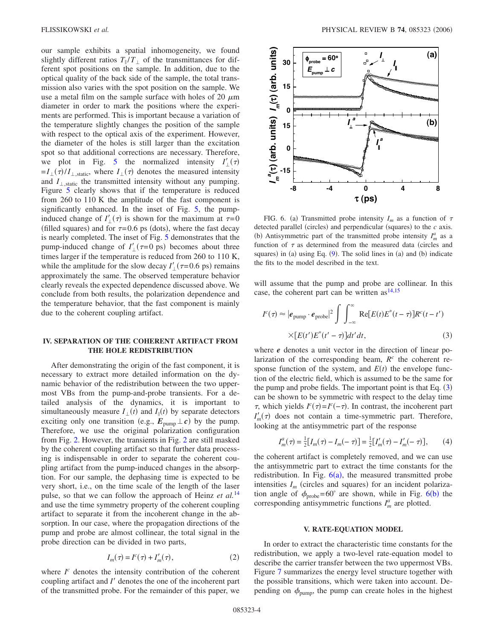our sample exhibits a spatial inhomogeneity, we found slightly different ratios  $T_{\parallel}/T_{\perp}$  of the transmittances for different spot positions on the sample. In addition, due to the optical quality of the back side of the sample, the total transmission also varies with the spot position on the sample. We use a metal film on the sample surface with holes of 20  $\mu$ m diameter in order to mark the positions where the experiments are performed. This is important because a variation of the temperature slightly changes the position of the sample with respect to the optical axis of the experiment. However, the diameter of the holes is still larger than the excitation spot so that additional corrections are necessary. Therefore, we plot in Fig. [5](#page-2-2) the normalized intensity  $I'_{\perp}(\tau)$  $=I_{\perp}(\tau)/I_{\perp,\text{static}}$ , where  $I_{\perp}(\tau)$  denotes the measured intensity and  $I_{\perp,static}$  the transmitted intensity without any pumping. Figure [5](#page-2-2) clearly shows that if the temperature is reduced from 260 to 110 K the amplitude of the fast component is significantly enhanced. In the inset of Fig. [5,](#page-2-2) the pumpinduced change of  $I'_{\perp}(\tau)$  is shown for the maximum at  $\tau=0$ (filled squares) and for  $\tau = 0.6$  ps (dots), where the fast decay is nearly completed. The inset of Fig. [5](#page-2-2) demonstrates that the pump-induced change of  $I'_{\perp}(\tau=0 \text{ ps})$  becomes about three times larger if the temperature is reduced from 260 to 110 K, while the amplitude for the slow decay  $I'_{\perp}(\tau=0.6 \text{ ps})$  remains approximately the same. The observed temperature behavior clearly reveals the expected dependence discussed above. We conclude from both results, the polarization dependence and the temperature behavior, that the fast component is mainly due to the coherent coupling artifact.

## **IV. SEPARATION OF THE COHERENT ARTIFACT FROM THE HOLE REDISTRIBUTION**

After demonstrating the origin of the fast component, it is necessary to extract more detailed information on the dynamic behavior of the redistribution between the two uppermost VBs from the pump-and-probe transients. For a detailed analysis of the dynamics, it is important to simultaneously measure  $I_{\perp}(t)$  and  $I_{\parallel}(t)$  by separate detectors exciting only one transition (e.g.,  $E_{\text{pump}} \perp c$ ) by the pump. Therefore, we use the original polarization configuration from Fig. [2.](#page-1-1) However, the transients in Fig. [2](#page-1-1) are still masked by the coherent coupling artifact so that further data processing is indispensable in order to separate the coherent coupling artifact from the pump-induced changes in the absorption. For our sample, the dephasing time is expected to be very short, i.e., on the time scale of the length of the laser pulse, so that we can follow the approach of Heinz *et al.*[14](#page-5-15) and use the time symmetry property of the coherent coupling artifact to separate it from the incoherent change in the absorption. In our case, where the propagation directions of the pump and probe are almost collinear, the total signal in the probe direction can be divided in two parts,

$$
I_m(\tau) = I^c(\tau) + I'_m(\tau),\tag{2}
$$

where *I <sup>c</sup>* denotes the intensity contribution of the coherent coupling artifact and *I'* denotes the one of the incoherent part of the transmitted probe. For the remainder of this paper, we

<span id="page-3-1"></span>

FIG. 6. (a) Transmitted probe intensity  $I_m$  as a function of  $\tau$ detected parallel (circles) and perpendicular (squares) to the  $c$  axis. (b) Antisymmetric part of the transmitted probe intensity  $I_m^a$  as a function of  $\tau$  as determined from the measured data (circles and squares) in (a) using Eq. ([9](#page-4-1)). The solid lines in (a) and (b) indicate the fits to the model described in the text.

will assume that the pump and probe are collinear. In this case, the coherent part can be written  $as^{14,15}$  $as^{14,15}$  $as^{14,15}$ 

<span id="page-3-0"></span>
$$
F^{c}(\tau) \approx |e_{\text{pump}} \cdot e_{\text{probe}}|^{2} \int \int_{-\infty}^{\infty} \text{Re}[E(t)E^{*}(t-\tau)]R^{c}(t-t')
$$
  
 
$$
\times [E(t')E^{*}(t'-\tau)]dt'dt,
$$
 (3)

where *e* denotes a unit vector in the direction of linear polarization of the corresponding beam,  $R<sup>c</sup>$  the coherent response function of the system, and  $E(t)$  the envelope function of the electric field, which is assumed to be the same for the pump and probe fields. The important point is that Eq.  $(3)$  $(3)$  $(3)$ can be shown to be symmetric with respect to the delay time  $\tau$ , which yields  $I^c(\tau) = I^c(-\tau)$ . In contrast, the incoherent part  $I'_m(\tau)$  does not contain a time-symmetric part. Therefore, looking at the antisymmetric part of the response

$$
I_m^a(\tau) = \frac{1}{2} [I_m(\tau) - I_m(-\tau)] = \frac{1}{2} [I'_m(\tau) - I'_m(-\tau)],
$$
 (4)

the coherent artifact is completely removed, and we can use the antisymmetric part to extract the time constants for the redistribution. In Fig.  $6(a)$  $6(a)$ , the measured transmitted probe intensities  $I_m$  (circles and squares) for an incident polarization angle of  $\phi_{\text{probe}} = 60^{\circ}$  $\phi_{\text{probe}} = 60^{\circ}$  $\phi_{\text{probe}} = 60^{\circ}$  are shown, while in Fig. 6(b) the corresponding antisymmetric functions  $I_m^a$  are plotted.

### **V. RATE-EQUATION MODEL**

In order to extract the characteristic time constants for the redistribution, we apply a two-level rate-equation model to describe the carrier transfer between the two uppermost VBs. Figure [7](#page-4-0) summarizes the energy level structure together with the possible transitions, which were taken into account. Depending on  $\phi_{\text{pump}}$ , the pump can create holes in the highest

*I*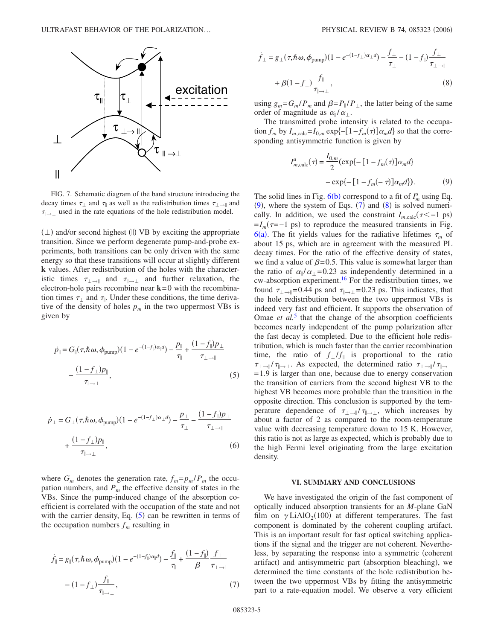<span id="page-4-0"></span>

FIG. 7. Schematic diagram of the band structure introducing the decay times  $\tau_{\perp}$  and  $\tau_{\parallel}$  as well as the redistribution times  $\tau_{\perp \rightarrow \parallel}$  and  $\tau_{\parallel \rightarrow \perp}$  used in the rate equations of the hole redistribution model.

 $(\perp)$  and/or second highest (||) VB by exciting the appropriate transition. Since we perform degenerate pump-and-probe experiments, both transitions can be only driven with the same energy so that these transitions will occur at slightly different **k** values. After redistribution of the holes with the characteristic times  $\tau_{\perp \rightarrow \parallel}$  and  $\tau_{\parallel \rightarrow \perp}$  and further relaxation, the electron-hole pairs recombine near **k**=0 with the recombination times  $\tau_{\perp}$  and  $\tau_{\parallel}$ . Under these conditions, the time derivative of the density of holes  $p_m$  in the two uppermost VBs is given by

<span id="page-4-2"></span>
$$
\dot{p}_{\parallel} = G_{\parallel}(\tau, \hbar \omega, \phi_{\text{pump}}) (1 - e^{-(1 - f_{\parallel})\alpha_{\parallel} d}) - \frac{p_{\parallel}}{\tau_{\parallel}} + \frac{(1 - f_{\parallel})p_{\perp}}{\tau_{\perp \to \parallel}}
$$

$$
- \frac{(1 - f_{\perp})p_{\parallel}}{\tau_{\parallel \to \perp}}, \tag{5}
$$

$$
\dot{p}_{\perp} = G_{\perp}(\tau, \hbar \omega, \phi_{\text{pump}}) (1 - e^{-(1 - f_{\perp})\alpha_{\perp} d}) - \frac{p_{\perp}}{\tau_{\perp}} - \frac{(1 - f_{\parallel})p_{\perp}}{\tau_{\perp \to \parallel}}
$$
  
+ 
$$
\frac{(1 - f_{\perp})p_{\parallel}}{\tau_{\parallel \to \perp}}, \tag{6}
$$

where  $G_m$  denotes the generation rate,  $f_m = p_m / P_m$  the occupation numbers, and  $P_m$  the effective density of states in the VBs. Since the pump-induced change of the absorption coefficient is correlated with the occupation of the state and not with the carrier density, Eq.  $(5)$  $(5)$  $(5)$  can be rewritten in terms of the occupation numbers  $f_m$  resulting in

<span id="page-4-3"></span>
$$
\dot{f}_{\parallel} = g_{\parallel}(\tau, \hbar \omega, \phi_{\text{pump}}) (1 - e^{-(1 - f_{\parallel})\alpha_{\parallel} d}) - \frac{f_{\parallel}}{\tau_{\parallel}} + \frac{(1 - f_{\parallel})}{\beta} \frac{f_{\perp}}{\tau_{\perp \to \parallel}}
$$

$$
- (1 - f_{\perp}) \frac{f_{\parallel}}{\tau_{\parallel \to \perp}}, \tag{7}
$$

<span id="page-4-4"></span>
$$
\dot{f}_{\perp} = g_{\perp}(\tau, \hbar \omega, \phi_{\text{pump}}) (1 - e^{-(1 - f_{\perp})\alpha_{\perp} d}) - \frac{f_{\perp}}{\tau_{\perp}} - (1 - f_{\parallel}) \frac{f_{\perp}}{\tau_{\perp \to \parallel}} \n+ \beta (1 - f_{\perp}) \frac{f_{\parallel}}{\tau_{\parallel \to \perp}},
$$
\n(8)

using  $g_m = G_m / P_m$  and  $\beta = P_{\parallel} / P_{\perp}$ , the latter being of the same order of magnitude as  $\alpha_{\parallel}/\alpha_{\perp}$ .

<span id="page-4-1"></span>The transmitted probe intensity is related to the occupation  $f_m$  by  $I_{m,\text{calc}} = I_{0,m} \exp\{-\left[1 - f_m(\tau)\right] \alpha_m d\}$  so that the corresponding antisymmetric function is given by

$$
I_{m,\text{calc}}^{a}(\tau) = \frac{I_{0,m}}{2} (\exp\{-[1 - f_m(\tau)]\alpha_m d\} - \exp\{-[1 - f_m(-\tau)]\alpha_m d\}).
$$
 (9)

The solid lines in Fig.  $6(b)$  $6(b)$  correspond to a fit of  $I_m^a$  using Eq.  $(9)$  $(9)$  $(9)$ , where the system of Eqs.  $(7)$  $(7)$  $(7)$  and  $(8)$  $(8)$  $(8)$  is solved numerically. In addition, we used the constraint  $I_{m,\text{calc}}(\tau < -1 \text{ ps})$  $=I_m(\tau=-1 \text{ ps})$  to reproduce the measured transients in Fig.  $6(a)$  $6(a)$ . The fit yields values for the radiative lifetimes  $\tau_m$  of about 15 ps, which are in agreement with the measured PL decay times. For the ratio of the effective density of states, we find a value of  $\beta$ =0.5. This value is somewhat larger than the ratio of  $\alpha_{\parallel}/\alpha_{\perp} = 0.23$  as independently determined in a cw-absorption experiment.<sup>16</sup> For the redistribution times, we found  $\tau_{\perp \rightarrow \parallel} = 0.44$  ps and  $\tau_{\parallel \rightarrow \perp} = 0.23$  ps. This indicates, that the hole redistribution between the two uppermost VBs is indeed very fast and efficient. It supports the observation of Omae *et al.*<sup>[5](#page-5-6)</sup> that the change of the absorption coefficients becomes nearly independent of the pump polarization after the fast decay is completed. Due to the efficient hole redistribution, which is much faster than the carrier recombination time, the ratio of  $f_{\perp}/f_{\parallel}$  is proportional to the ratio  $\tau_{\perp \rightarrow \parallel}/\tau_{\parallel \rightarrow \perp}$ . As expected, the determined ratio  $\tau_{\perp \rightarrow \parallel}/\tau_{\parallel \rightarrow \perp}$ =1.9 is larger than one, because due to energy conservation the transition of carriers from the second highest VB to the highest VB becomes more probable than the transition in the opposite direction. This conclusion is supported by the temperature dependence of  $\tau_{\perp \rightarrow \parallel}/\tau_{\parallel \rightarrow \perp}$ , which increases by about a factor of 2 as compared to the room-temperature value with decreasing temperature down to 15 K. However, this ratio is not as large as expected, which is probably due to the high Fermi level originating from the large excitation density.

#### **VI. SUMMARY AND CONCLUSIONS**

We have investigated the origin of the fast component of optically induced absorption transients for an *M*-plane GaN film on  $\gamma$  LiAlO<sub>2</sub>(100) at different temperatures. The fast component is dominated by the coherent coupling artifact. This is an important result for fast optical switching applications if the signal and the trigger are not coherent. Nevertheless, by separating the response into a symmetric (coherent artifact) and antisymmetric part (absorption bleaching), we determined the time constants of the hole redistribution between the two uppermost VBs by fitting the antisymmetric part to a rate-equation model. We observe a very efficient